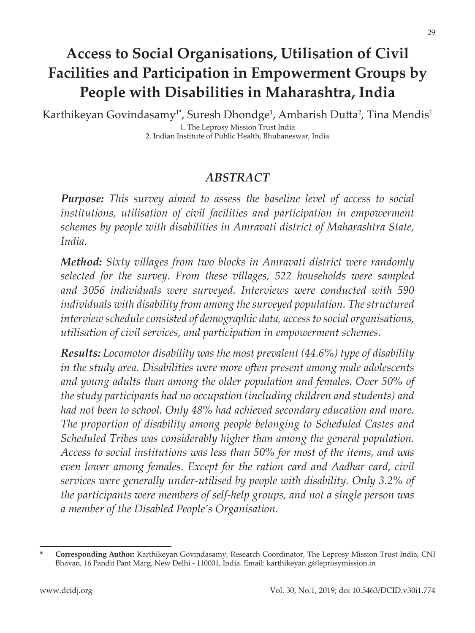# **Access to Social Organisations, Utilisation of Civil Facilities and Participation in Empowerment Groups by People with Disabilities in Maharashtra, India**

Karthikeyan Govindasamy<sup>1\*</sup>, Suresh Dhondge<sup>1</sup>, Ambarish Dutta<sup>2</sup>, Tina Mendis<sup>1</sup> 1. The Leprosy Mission Trust India 2. Indian Institute of Public Health, Bhubaneswar, India

#### *ABSTRACT*

*Purpose: This survey aimed to assess the baseline level of access to social institutions, utilisation of civil facilities and participation in empowerment schemes by people with disabilities in Amravati district of Maharashtra State, India.* 

*Method: Sixty villages from two blocks in Amravati district were randomly selected for the survey. From these villages, 522 households were sampled and 3056 individuals were surveyed. Interviews were conducted with 590 individuals with disability from among the surveyed population. The structured interview schedule consisted of demographic data, access to social organisations, utilisation of civil services, and participation in empowerment schemes.* 

*Results: Locomotor disability was the most prevalent (44.6%) type of disability in the study area. Disabilities were more often present among male adolescents and young adults than among the older population and females. Over 50% of the study participants had no occupation (including children and students) and had not been to school. Only 48% had achieved secondary education and more. The proportion of disability among people belonging to Scheduled Castes and Scheduled Tribes was considerably higher than among the general population. Access to social institutions was less than 50% for most of the items, and was even lower among females. Except for the ration card and Aadhar card, civil services were generally under-utilised by people with disability. Only 3.2% of the participants were members of self-help groups, and not a single person was a member of the Disabled People's Organisation.*

**<sup>\*</sup> Corresponding Author:** Karthikeyan Govindasamy, Research Coordinator, The Leprosy Mission Trust India, CNI Bhavan, 16 Pandit Pant Marg, New Delhi - 110001, India. Email: karthikeyan.g@leprosymission.in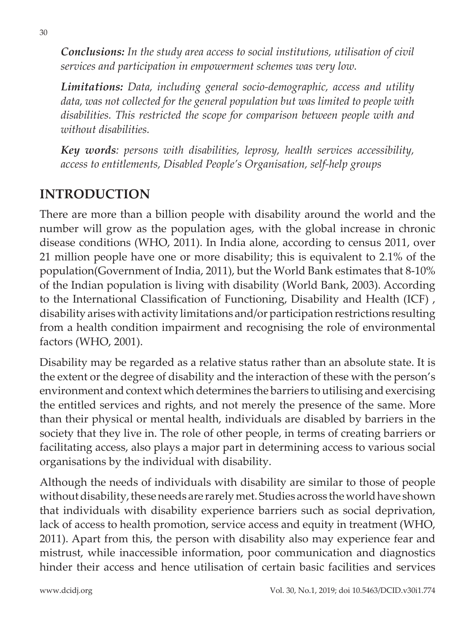*Conclusions: In the study area access to social institutions, utilisation of civil services and participation in empowerment schemes was very low.*

*Limitations: Data, including general socio-demographic, access and utility data, was not collected for the general population but was limited to people with disabilities. This restricted the scope for comparison between people with and without disabilities.*

*Key words: persons with disabilities, leprosy, health services accessibility, access to entitlements, Disabled People's Organisation, self-help groups*

### **INTRODUCTION**

There are more than a billion people with disability around the world and the number will grow as the population ages, with the global increase in chronic disease conditions (WHO, 2011). In India alone, according to census 2011, over 21 million people have one or more disability; this is equivalent to 2.1% of the population(Government of India, 2011), but the World Bank estimates that 8-10% of the Indian population is living with disability (World Bank, 2003). According to the International Classification of Functioning, Disability and Health (ICF) , disability arises with activity limitations and/or participation restrictions resulting from a health condition impairment and recognising the role of environmental factors (WHO, 2001).

Disability may be regarded as a relative status rather than an absolute state. It is the extent or the degree of disability and the interaction of these with the person's environment and context which determines the barriers to utilising and exercising the entitled services and rights, and not merely the presence of the same. More than their physical or mental health, individuals are disabled by barriers in the society that they live in. The role of other people, in terms of creating barriers or facilitating access, also plays a major part in determining access to various social organisations by the individual with disability.

Although the needs of individuals with disability are similar to those of people without disability, these needs are rarely met. Studies across the world have shown that individuals with disability experience barriers such as social deprivation, lack of access to health promotion, service access and equity in treatment (WHO, 2011). Apart from this, the person with disability also may experience fear and mistrust, while inaccessible information, poor communication and diagnostics hinder their access and hence utilisation of certain basic facilities and services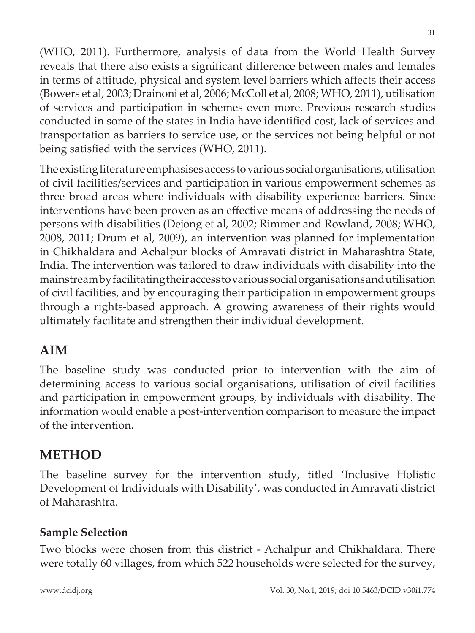(WHO, 2011). Furthermore, analysis of data from the World Health Survey reveals that there also exists a significant difference between males and females in terms of attitude, physical and system level barriers which affects their access (Bowers et al, 2003; Drainoni et al, 2006; McColl et al, 2008; WHO, 2011), utilisation of services and participation in schemes even more. Previous research studies conducted in some of the states in India have identified cost, lack of services and transportation as barriers to service use, or the services not being helpful or not being satisfied with the services (WHO, 2011).

The existing literature emphasises access to various social organisations, utilisation of civil facilities/services and participation in various empowerment schemes as three broad areas where individuals with disability experience barriers. Since interventions have been proven as an effective means of addressing the needs of persons with disabilities (Dejong et al, 2002; Rimmer and Rowland, 2008; WHO, 2008, 2011; Drum et al, 2009), an intervention was planned for implementation in Chikhaldara and Achalpur blocks of Amravati district in Maharashtra State, India. The intervention was tailored to draw individuals with disability into the mainstream by facilitating their access to various social organisations and utilisation of civil facilities, and by encouraging their participation in empowerment groups through a rights-based approach. A growing awareness of their rights would ultimately facilitate and strengthen their individual development.

### **AIM**

The baseline study was conducted prior to intervention with the aim of determining access to various social organisations, utilisation of civil facilities and participation in empowerment groups, by individuals with disability. The information would enable a post-intervention comparison to measure the impact of the intervention.

# **METHOD**

The baseline survey for the intervention study, titled 'Inclusive Holistic Development of Individuals with Disability', was conducted in Amravati district of Maharashtra.

#### **Sample Selection**

Two blocks were chosen from this district - Achalpur and Chikhaldara. There were totally 60 villages, from which 522 households were selected for the survey,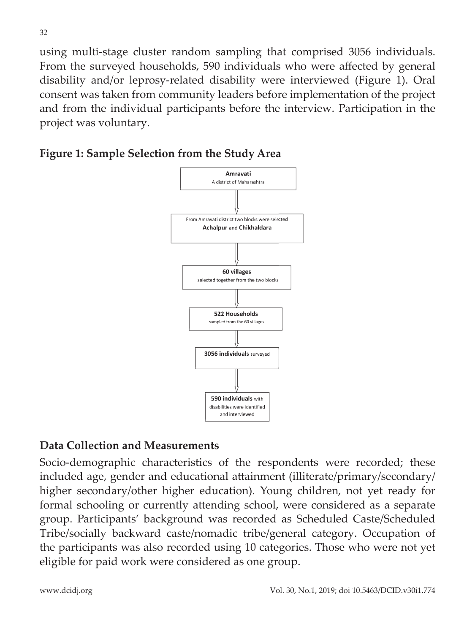using multi-stage cluster random sampling that comprised 3056 individuals. From the surveyed households, 590 individuals who were affected by general disability and/or leprosy-related disability were interviewed (Figure 1). Oral consent was taken from community leaders before implementation of the project and from the individual participants before the interview. Participation in the project was voluntary.

#### **Figure 1: Sample Selection from the Study Area**



#### **Data Collection and Measurements**

Socio-demographic characteristics of the respondents were recorded; these included age, gender and educational attainment (illiterate/primary/secondary/ higher secondary/other higher education). Young children, not yet ready for formal schooling or currently attending school, were considered as a separate group. Participants' background was recorded as Scheduled Caste/Scheduled Tribe/socially backward caste/nomadic tribe/general category. Occupation of the participants was also recorded using 10 categories. Those who were not yet eligible for paid work were considered as one group.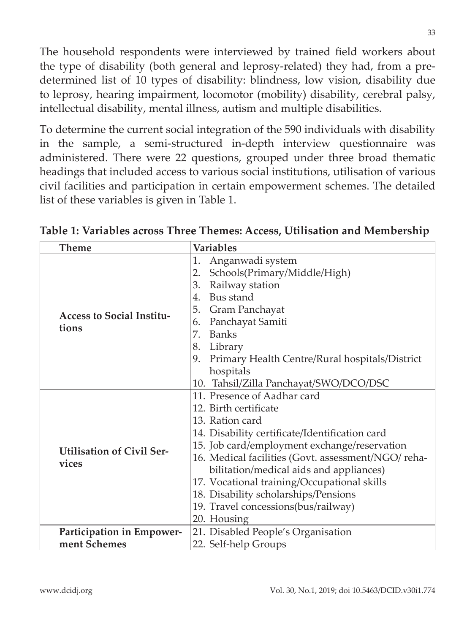The household respondents were interviewed by trained field workers about the type of disability (both general and leprosy-related) they had, from a predetermined list of 10 types of disability: blindness, low vision, disability due to leprosy, hearing impairment, locomotor (mobility) disability, cerebral palsy, intellectual disability, mental illness, autism and multiple disabilities.

To determine the current social integration of the 590 individuals with disability in the sample, a semi-structured in-depth interview questionnaire was administered. There were 22 questions, grouped under three broad thematic headings that included access to various social institutions, utilisation of various civil facilities and participation in certain empowerment schemes. The detailed list of these variables is given in Table 1.

| <b>Theme</b>                              | <b>Variables</b>                                                                                                                                                                                                                                                                                                                                                                                                        |  |  |
|-------------------------------------------|-------------------------------------------------------------------------------------------------------------------------------------------------------------------------------------------------------------------------------------------------------------------------------------------------------------------------------------------------------------------------------------------------------------------------|--|--|
| <b>Access to Social Institu-</b><br>tions | 1.<br>Anganwadi system<br>Schools(Primary/Middle/High)<br>2.<br>Railway station<br>3.<br>Bus stand<br>$4_{\cdot}$<br>5.<br>Gram Panchayat<br>Panchayat Samiti<br>6.<br><b>Banks</b><br>7.<br>8.<br>Library<br>9.<br>Primary Health Centre/Rural hospitals/District<br>hospitals<br>Tahsil/Zilla Panchayat/SWO/DCO/DSC<br>10.                                                                                            |  |  |
| <b>Utilisation of Civil Ser-</b><br>vices | 11. Presence of Aadhar card<br>12. Birth certificate<br>13. Ration card<br>14. Disability certificate/Identification card<br>15. Job card/employment exchange/reservation<br>16. Medical facilities (Govt. assessment/NGO/reha-<br>bilitation/medical aids and appliances)<br>17. Vocational training/Occupational skills<br>18. Disability scholarships/Pensions<br>19. Travel concessions(bus/railway)<br>20. Housing |  |  |
| Participation in Empower-                 | 21. Disabled People's Organisation                                                                                                                                                                                                                                                                                                                                                                                      |  |  |
| ment Schemes                              | 22. Self-help Groups                                                                                                                                                                                                                                                                                                                                                                                                    |  |  |

**Table 1: Variables across Three Themes: Access, Utilisation and Membership**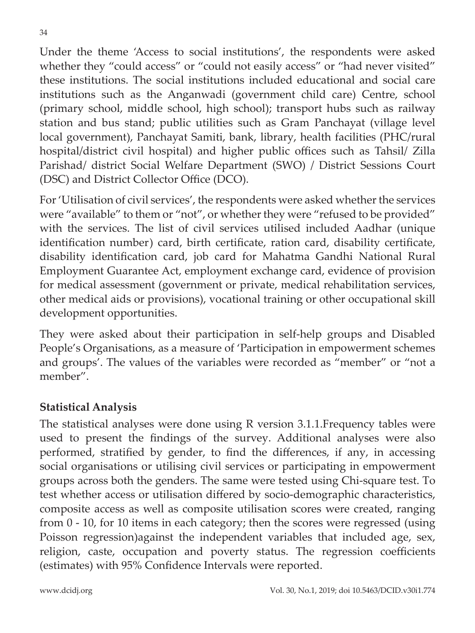Under the theme 'Access to social institutions', the respondents were asked whether they "could access" or "could not easily access" or "had never visited" these institutions. The social institutions included educational and social care institutions such as the Anganwadi (government child care) Centre, school (primary school, middle school, high school); transport hubs such as railway station and bus stand; public utilities such as Gram Panchayat (village level local government), Panchayat Samiti, bank, library, health facilities (PHC/rural hospital/district civil hospital) and higher public offices such as Tahsil/ Zilla Parishad/ district Social Welfare Department (SWO) / District Sessions Court (DSC) and District Collector Office (DCO).

For 'Utilisation of civil services', the respondents were asked whether the services were "available" to them or "not", or whether they were "refused to be provided" with the services. The list of civil services utilised included Aadhar (unique identification number) card, birth certificate, ration card, disability certificate, disability identification card, job card for Mahatma Gandhi National Rural Employment Guarantee Act, employment exchange card, evidence of provision for medical assessment (government or private, medical rehabilitation services, other medical aids or provisions), vocational training or other occupational skill development opportunities.

They were asked about their participation in self-help groups and Disabled People's Organisations, as a measure of 'Participation in empowerment schemes and groups'. The values of the variables were recorded as "member" or "not a member".

#### **Statistical Analysis**

The statistical analyses were done using R version 3.1.1.Frequency tables were used to present the findings of the survey. Additional analyses were also performed, stratified by gender, to find the differences, if any, in accessing social organisations or utilising civil services or participating in empowerment groups across both the genders. The same were tested using Chi-square test. To test whether access or utilisation differed by socio-demographic characteristics, composite access as well as composite utilisation scores were created, ranging from 0 - 10, for 10 items in each category; then the scores were regressed (using Poisson regression)against the independent variables that included age, sex, religion, caste, occupation and poverty status. The regression coefficients (estimates) with 95% Confidence Intervals were reported.

34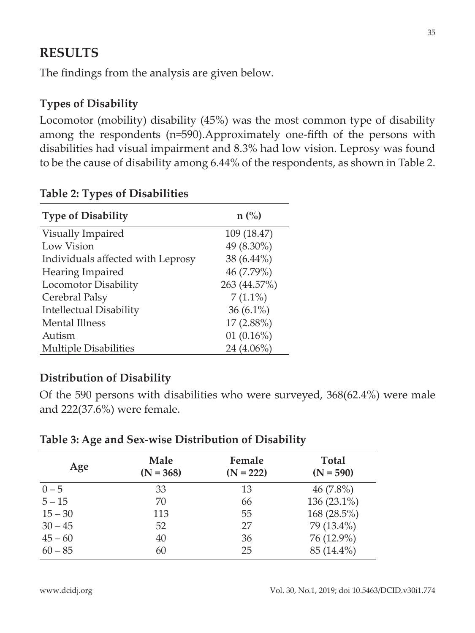### **RESULTS**

The findings from the analysis are given below.

#### **Types of Disability**

Locomotor (mobility) disability (45%) was the most common type of disability among the respondents (n=590).Approximately one-fifth of the persons with disabilities had visual impairment and 8.3% had low vision. Leprosy was found to be the cause of disability among 6.44% of the respondents, as shown in Table 2.

| <b>Type of Disability</b>         | $n\left(\frac{0}{0}\right)$ |
|-----------------------------------|-----------------------------|
| Visually Impaired                 | 109 (18.47)                 |
| Low Vision                        | 49 (8.30%)                  |
| Individuals affected with Leprosy | 38 (6.44%)                  |
| Hearing Impaired                  | 46 (7.79%)                  |
| Locomotor Disability              | 263 (44.57%)                |
| Cerebral Palsy                    | $7(1.1\%)$                  |
| <b>Intellectual Disability</b>    | $36(6.1\%)$                 |
| <b>Mental Illness</b>             | $17(2.88\%)$                |
| Autism                            | 01(0.16%)                   |
| <b>Multiple Disabilities</b>      | 24 (4.06%)                  |

#### **Table 2: Types of Disabilities**

#### **Distribution of Disability**

Of the 590 persons with disabilities who were surveyed, 368(62.4%) were male and 222(37.6%) were female.

| Age       | Male<br>$(N = 368)$ | Female<br>$(N = 222)$ | <b>Total</b><br>$(N = 590)$ |
|-----------|---------------------|-----------------------|-----------------------------|
| $0 - 5$   | 33                  | 13                    | $46(7.8\%)$                 |
| $5 - 15$  | 70                  | 66                    | 136 (23.1%)                 |
| $15 - 30$ | 113                 | 55                    | 168 (28.5%)                 |
| $30 - 45$ | 52                  | 27                    | 79 (13.4%)                  |
| $45 - 60$ | 40                  | 36                    | 76 (12.9%)                  |
| $60 - 85$ | 60                  | 25                    | 85 (14.4%)                  |

#### **Table 3: Age and Sex-wise Distribution of Disability**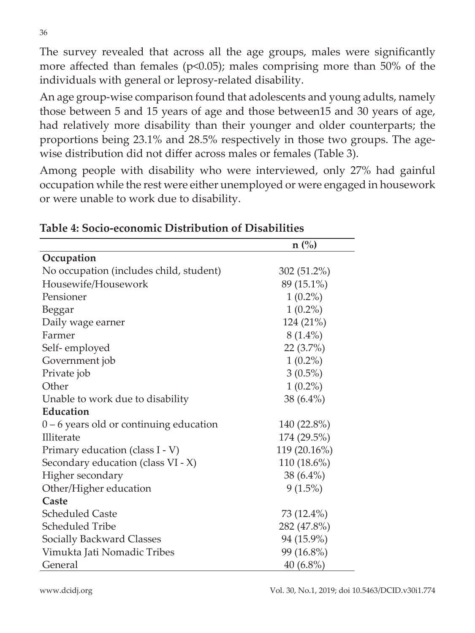The survey revealed that across all the age groups, males were significantly more affected than females ( $p<0.05$ ); males comprising more than 50% of the individuals with general or leprosy-related disability.

An age group-wise comparison found that adolescents and young adults, namely those between 5 and 15 years of age and those between15 and 30 years of age, had relatively more disability than their younger and older counterparts; the proportions being 23.1% and 28.5% respectively in those two groups. The agewise distribution did not differ across males or females (Table 3).

Among people with disability who were interviewed, only 27% had gainful occupation while the rest were either unemployed or were engaged in housework or were unable to work due to disability.

|                                           | $n(^{0}/_{0})$ |
|-------------------------------------------|----------------|
| Occupation                                |                |
| No occupation (includes child, student)   | 302 (51.2%)    |
| Housewife/Housework                       | 89 (15.1%)     |
| Pensioner                                 | $1(0.2\%)$     |
| Beggar                                    | $1(0.2\%)$     |
| Daily wage earner                         | 124 (21%)      |
| Farmer                                    | $8(1.4\%)$     |
| Self-employed                             | 22(3.7%)       |
| Government job                            | $1(0.2\%)$     |
| Private job                               | $3(0.5\%)$     |
| Other                                     | $1(0.2\%)$     |
| Unable to work due to disability          | $38(6.4\%)$    |
| Education                                 |                |
| $0 - 6$ years old or continuing education | 140 (22.8%)    |
| Illiterate                                | 174 (29.5%)    |
| Primary education (class I - V)           | 119 (20.16%)   |
| Secondary education (class VI - X)        | 110 (18.6%)    |
| Higher secondary                          | 38 (6.4%)      |
| Other/Higher education                    | $9(1.5\%)$     |
| Caste                                     |                |
| <b>Scheduled Caste</b>                    | 73 (12.4%)     |
| <b>Scheduled Tribe</b>                    | 282 (47.8%)    |
| <b>Socially Backward Classes</b>          | 94 (15.9%)     |
| Vimukta Jati Nomadic Tribes               | 99 (16.8%)     |
| General                                   | $40(6.8\%)$    |

**Table 4: Socio-economic Distribution of Disabilities**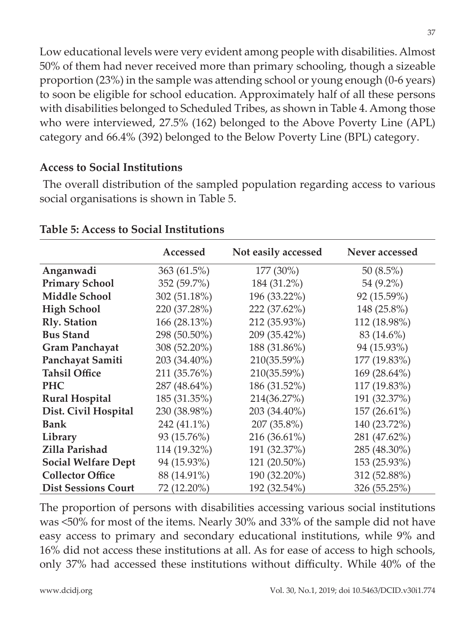Low educational levels were very evident among people with disabilities. Almost 50% of them had never received more than primary schooling, though a sizeable proportion (23%) in the sample was attending school or young enough (0-6 years) to soon be eligible for school education. Approximately half of all these persons with disabilities belonged to Scheduled Tribes, as shown in Table 4. Among those who were interviewed, 27.5% (162) belonged to the Above Poverty Line (APL) category and 66.4% (392) belonged to the Below Poverty Line (BPL) category.

#### **Access to Social Institutions**

 The overall distribution of the sampled population regarding access to various social organisations is shown in Table 5.

|                            | Accessed     | Not easily accessed | Never accessed |
|----------------------------|--------------|---------------------|----------------|
| Anganwadi                  | 363(61.5%)   | 177 (30%)           | 50 $(8.5\%)$   |
| <b>Primary School</b>      | 352 (59.7%)  | 184 (31.2%)         | 54 (9.2%)      |
| <b>Middle School</b>       | 302 (51.18%) | 196 (33.22%)        | 92 (15.59%)    |
| <b>High School</b>         | 220 (37.28%) | 222 (37.62%)        | 148 (25.8%)    |
| <b>Rly.</b> Station        | 166 (28.13%) | 212 (35.93%)        | 112 (18.98%)   |
| <b>Bus Stand</b>           | 298 (50.50%) | 209 (35.42%)        | 83 (14.6%)     |
| <b>Gram Panchayat</b>      | 308 (52.20%) | 188 (31.86%)        | 94 (15.93%)    |
| Panchayat Samiti           | 203 (34.40%) | 210(35.59%)         | 177 (19.83%)   |
| <b>Tahsil Office</b>       | 211 (35.76%) | 210(35.59%)         | 169 (28.64%)   |
| <b>PHC</b>                 | 287 (48.64%) | 186 (31.52%)        | 117 (19.83%)   |
| <b>Rural Hospital</b>      | 185 (31.35%) | 214(36.27%)         | 191 (32.37%)   |
| Dist. Civil Hospital       | 230 (38.98%) | 203 (34.40%)        | 157 (26.61%)   |
| <b>Bank</b>                | 242 (41.1%)  | 207 (35.8%)         | 140 (23.72%)   |
| Library                    | 93 (15.76%)  | $216(36.61\%)$      | 281 (47.62%)   |
| Zilla Parishad             | 114 (19.32%) | 191 (32.37%)        | 285 (48.30%)   |
| <b>Social Welfare Dept</b> | 94 (15.93%)  | $121(20.50\%)$      | 153 (25.93%)   |
| <b>Collector Office</b>    | 88 (14.91%)  | 190 (32.20%)        | 312 (52.88%)   |
| <b>Dist Sessions Court</b> | 72 (12.20%)  | 192 (32.54%)        | 326 (55.25%)   |

#### **Table 5: Access to Social Institutions**

The proportion of persons with disabilities accessing various social institutions was <50% for most of the items. Nearly 30% and 33% of the sample did not have easy access to primary and secondary educational institutions, while 9% and 16% did not access these institutions at all. As for ease of access to high schools, only 37% had accessed these institutions without difficulty. While 40% of the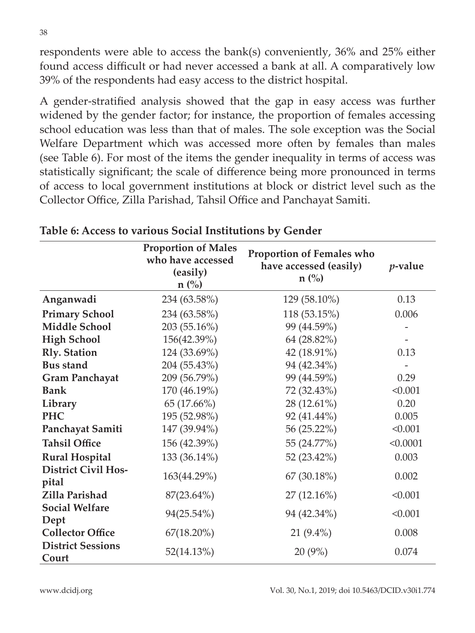respondents were able to access the bank(s) conveniently, 36% and 25% either found access difficult or had never accessed a bank at all. A comparatively low 39% of the respondents had easy access to the district hospital.

A gender-stratified analysis showed that the gap in easy access was further widened by the gender factor; for instance, the proportion of females accessing school education was less than that of males. The sole exception was the Social Welfare Department which was accessed more often by females than males (see Table 6). For most of the items the gender inequality in terms of access was statistically significant; the scale of difference being more pronounced in terms of access to local government institutions at block or district level such as the Collector Office, Zilla Parishad, Tahsil Office and Panchayat Samiti.

|                                     | <b>Proportion of Males</b><br>who have accessed<br>(easily)<br>$n$ (%) | <b>Proportion of Females who</b><br>have accessed (easily)<br>$n$ (%) | $p$ -value |
|-------------------------------------|------------------------------------------------------------------------|-----------------------------------------------------------------------|------------|
| Anganwadi                           | 234 (63.58%)                                                           | 129 (58.10%)                                                          | 0.13       |
| <b>Primary School</b>               | 234 (63.58%)                                                           | 118 (53.15%)                                                          | 0.006      |
| <b>Middle School</b>                | 203 (55.16%)                                                           | 99 (44.59%)                                                           |            |
| <b>High School</b>                  | 156(42.39%)                                                            | 64 (28.82%)                                                           |            |
| <b>Rly.</b> Station                 | 124 (33.69%)                                                           | 42 (18.91%)                                                           | 0.13       |
| <b>Bus stand</b>                    | 204 (55.43%)                                                           | 94 (42.34%)                                                           |            |
| <b>Gram Panchayat</b>               | 209 (56.79%)                                                           | 99 (44.59%)                                                           | 0.29       |
| <b>Bank</b>                         | 170 (46.19%)                                                           | 72 (32.43%)                                                           | < 0.001    |
| Library                             | 65 (17.66%)                                                            | 28 (12.61%)                                                           | 0.20       |
| <b>PHC</b>                          | 195 (52.98%)                                                           | 92 (41.44%)                                                           | 0.005      |
| Panchayat Samiti                    | 147 (39.94%)                                                           | 56 (25.22%)                                                           | < 0.001    |
| <b>Tahsil Office</b>                | 156 (42.39%)                                                           | 55 (24.77%)                                                           | < 0.0001   |
| <b>Rural Hospital</b>               | 133 (36.14%)                                                           | 52 (23.42%)                                                           | 0.003      |
| <b>District Civil Hos-</b><br>pital | 163(44.29%)                                                            | 67 (30.18%)                                                           | 0.002      |
| Zilla Parishad                      | 87(23.64%)                                                             | 27(12.16%)                                                            | < 0.001    |
| <b>Social Welfare</b><br>Dept       | 94(25.54%)                                                             | 94 (42.34%)                                                           | < 0.001    |
| <b>Collector Office</b>             | $67(18.20\%)$                                                          | $21(9.4\%)$                                                           | 0.008      |
| <b>District Sessions</b><br>Court   | 52(14.13%)                                                             | 20(9%)                                                                | 0.074      |

**Table 6: Access to various Social Institutions by Gender**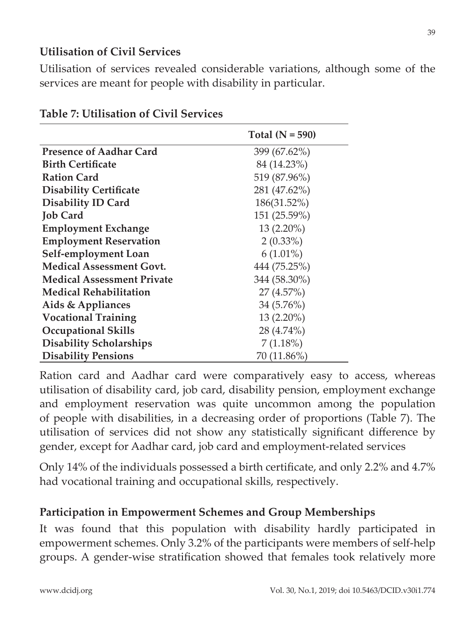#### **Utilisation of Civil Services**

Utilisation of services revealed considerable variations, although some of the services are meant for people with disability in particular.

|                                   | Total $(N = 590)$ |
|-----------------------------------|-------------------|
| <b>Presence of Aadhar Card</b>    | 399 (67.62%)      |
| <b>Birth Certificate</b>          | 84 (14.23%)       |
| <b>Ration Card</b>                | 519 (87.96%)      |
| <b>Disability Certificate</b>     | 281 (47.62%)      |
| <b>Disability ID Card</b>         | 186(31.52%)       |
| <b>Job Card</b>                   | 151 (25.59%)      |
| <b>Employment Exchange</b>        | $13(2.20\%)$      |
| <b>Employment Reservation</b>     | $2(0.33\%)$       |
| Self-employment Loan              | $6(1.01\%)$       |
| <b>Medical Assessment Govt.</b>   | 444 (75.25%)      |
| <b>Medical Assessment Private</b> | 344 (58.30%)      |
| <b>Medical Rehabilitation</b>     | 27(4.57%)         |
| Aids & Appliances                 | 34 (5.76%)        |
| <b>Vocational Training</b>        | $13(2.20\%)$      |
| <b>Occupational Skills</b>        | 28 (4.74%)        |
| <b>Disability Scholarships</b>    | $7(1.18\%)$       |
| <b>Disability Pensions</b>        | 70 (11.86%)       |

#### **Table 7: Utilisation of Civil Services**

Ration card and Aadhar card were comparatively easy to access, whereas utilisation of disability card, job card, disability pension, employment exchange and employment reservation was quite uncommon among the population of people with disabilities, in a decreasing order of proportions (Table 7). The utilisation of services did not show any statistically significant difference by gender, except for Aadhar card, job card and employment-related services

Only 14% of the individuals possessed a birth certificate, and only 2.2% and 4.7% had vocational training and occupational skills, respectively.

#### **Participation in Empowerment Schemes and Group Memberships**

It was found that this population with disability hardly participated in empowerment schemes. Only 3.2% of the participants were members of self-help groups. A gender-wise stratification showed that females took relatively more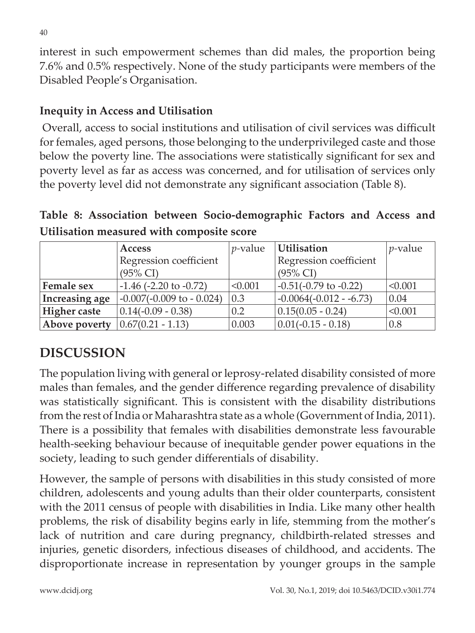interest in such empowerment schemes than did males, the proportion being 7.6% and 0.5% respectively. None of the study participants were members of the Disabled People's Organisation.

#### **Inequity in Access and Utilisation**

 Overall, access to social institutions and utilisation of civil services was difficult for females, aged persons, those belonging to the underprivileged caste and those below the poverty line. The associations were statistically significant for sex and poverty level as far as access was concerned, and for utilisation of services only the poverty level did not demonstrate any significant association (Table 8).

**Table 8: Association between Socio-demographic Factors and Access and Utilisation measured with composite score**

|                     | <b>Access</b>                  | $p$ -value | Utilisation                 | $p$ -value |
|---------------------|--------------------------------|------------|-----------------------------|------------|
|                     | Regression coefficient         |            | Regression coefficient      |            |
|                     | $(95\% \text{ CI})$            |            | $(95\% \text{ CI})$         |            |
| Female sex          | $-1.46$ ( $-2.20$ to $-0.72$ ) | < 0.001    | $-0.51(-0.79)$ to $-0.22$ ) | < 0.001    |
| Increasing age      | $-0.007(-0.009$ to $-0.024$ )  | 0.3        | $-0.0064(-0.012 - 6.73)$    | 0.04       |
| <b>Higher</b> caste | $0.14(-0.09 - 0.38)$           | 0.2        | $0.15(0.05 - 0.24)$         | < 0.001    |
| Above poverty       | $0.67(0.21 - 1.13)$            | 0.003      | $0.01(-0.15 - 0.18)$        | 0.8        |

# **DISCUSSION**

The population living with general or leprosy-related disability consisted of more males than females, and the gender difference regarding prevalence of disability was statistically significant. This is consistent with the disability distributions from the rest of India or Maharashtra state as a whole (Government of India, 2011). There is a possibility that females with disabilities demonstrate less favourable health-seeking behaviour because of inequitable gender power equations in the society, leading to such gender differentials of disability.

However, the sample of persons with disabilities in this study consisted of more children, adolescents and young adults than their older counterparts, consistent with the 2011 census of people with disabilities in India. Like many other health problems, the risk of disability begins early in life, stemming from the mother's lack of nutrition and care during pregnancy, childbirth-related stresses and injuries, genetic disorders, infectious diseases of childhood, and accidents. The disproportionate increase in representation by younger groups in the sample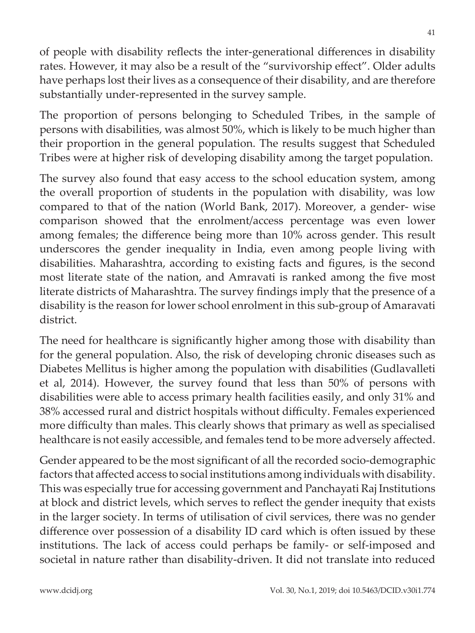of people with disability reflects the inter-generational differences in disability rates. However, it may also be a result of the "survivorship effect". Older adults have perhaps lost their lives as a consequence of their disability, and are therefore substantially under-represented in the survey sample.

The proportion of persons belonging to Scheduled Tribes, in the sample of persons with disabilities, was almost 50%, which is likely to be much higher than their proportion in the general population. The results suggest that Scheduled Tribes were at higher risk of developing disability among the target population.

The survey also found that easy access to the school education system, among the overall proportion of students in the population with disability, was low compared to that of the nation (World Bank, 2017). Moreover, a gender- wise comparison showed that the enrolment/access percentage was even lower among females; the difference being more than 10% across gender. This result underscores the gender inequality in India, even among people living with disabilities. Maharashtra, according to existing facts and figures, is the second most literate state of the nation, and Amravati is ranked among the five most literate districts of Maharashtra. The survey findings imply that the presence of a disability is the reason for lower school enrolment in this sub-group of Amaravati district.

The need for healthcare is significantly higher among those with disability than for the general population. Also, the risk of developing chronic diseases such as Diabetes Mellitus is higher among the population with disabilities (Gudlavalleti et al, 2014). However, the survey found that less than 50% of persons with disabilities were able to access primary health facilities easily, and only 31% and 38% accessed rural and district hospitals without difficulty. Females experienced more difficulty than males. This clearly shows that primary as well as specialised healthcare is not easily accessible, and females tend to be more adversely affected.

Gender appeared to be the most significant of all the recorded socio-demographic factors that affected access to social institutions among individuals with disability. This was especially true for accessing government and Panchayati Raj Institutions at block and district levels, which serves to reflect the gender inequity that exists in the larger society. In terms of utilisation of civil services, there was no gender difference over possession of a disability ID card which is often issued by these institutions. The lack of access could perhaps be family- or self-imposed and societal in nature rather than disability-driven. It did not translate into reduced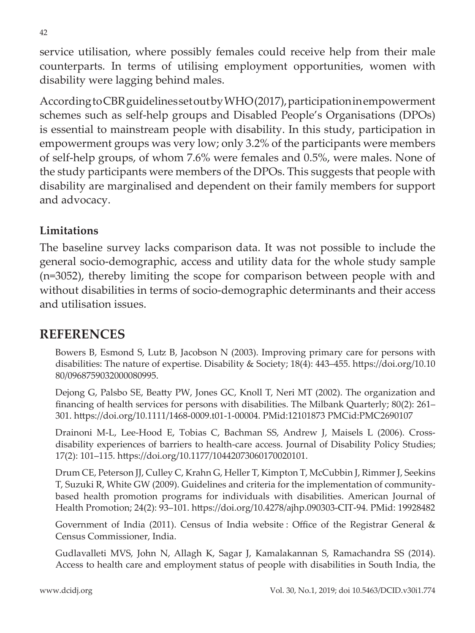service utilisation, where possibly females could receive help from their male counterparts. In terms of utilising employment opportunities, women with disability were lagging behind males.

According to CBR guidelines set out by WHO (2017), participation in empowerment schemes such as self-help groups and Disabled People's Organisations (DPOs) is essential to mainstream people with disability. In this study, participation in empowerment groups was very low; only 3.2% of the participants were members of self-help groups, of whom 7.6% were females and 0.5%, were males. None of the study participants were members of the DPOs. This suggests that people with disability are marginalised and dependent on their family members for support and advocacy.

#### **Limitations**

The baseline survey lacks comparison data. It was not possible to include the general socio-demographic, access and utility data for the whole study sample (n=3052), thereby limiting the scope for comparison between people with and without disabilities in terms of socio-demographic determinants and their access and utilisation issues.

### **REFERENCES**

Bowers B, Esmond S, Lutz B, Jacobson N (2003). Improving primary care for persons with disabilities: The nature of expertise. Disability & Society; 18(4): 443–455. https://doi.org/10.10 80/0968759032000080995.

Dejong G, Palsbo SE, Beatty PW, Jones GC, Knoll T, Neri MT (2002). The organization and financing of health services for persons with disabilities. The Milbank Quarterly; 80(2): 261– 301. https://doi.org/10.1111/1468-0009.t01-1-00004. PMid:12101873 PMCid:PMC2690107

Drainoni M-L, Lee-Hood E, Tobias C, Bachman SS, Andrew J, Maisels L (2006). Crossdisability experiences of barriers to health-care access. Journal of Disability Policy Studies; 17(2): 101–115. https://doi.org/10.1177/10442073060170020101.

Drum CE, Peterson JJ, Culley C, Krahn G, Heller T, Kimpton T, McCubbin J, Rimmer J, Seekins T, Suzuki R, White GW (2009). Guidelines and criteria for the implementation of communitybased health promotion programs for individuals with disabilities. American Journal of Health Promotion; 24(2): 93–101. https://doi.org/10.4278/ajhp.090303-CIT-94. PMid: 19928482

Government of India (2011). Census of India website : Office of the Registrar General & Census Commissioner, India.

Gudlavalleti MVS, John N, Allagh K, Sagar J, Kamalakannan S, Ramachandra SS (2014). Access to health care and employment status of people with disabilities in South India, the